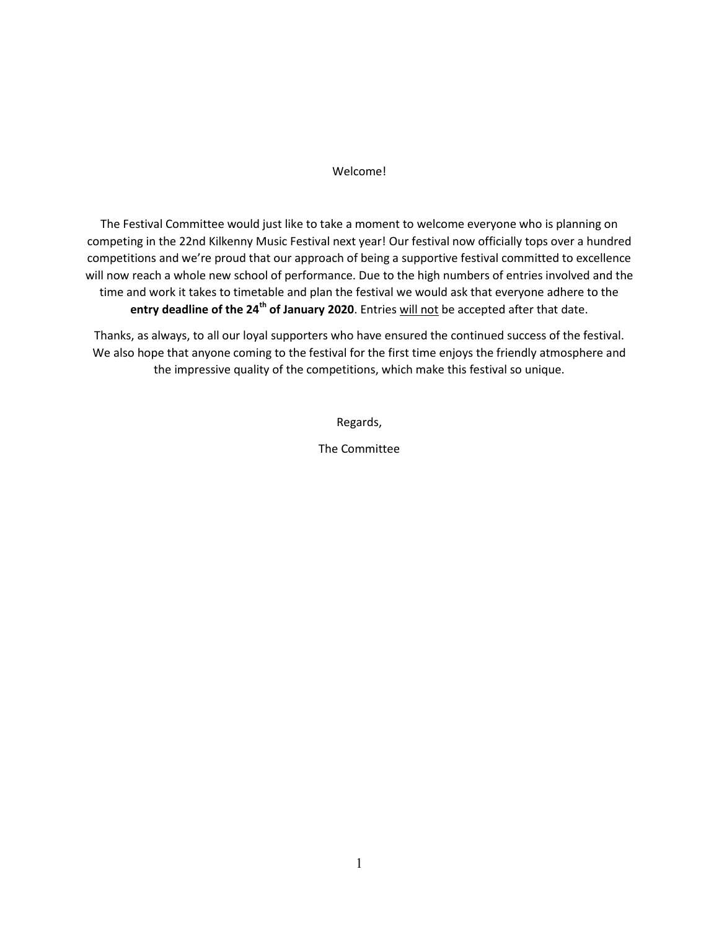#### Welcome!

The Festival Committee would just like to take a moment to welcome everyone who is planning on competing in the 22nd Kilkenny Music Festival next year! Our festival now officially tops over a hundred competitions and we're proud that our approach of being a supportive festival committed to excellence will now reach a whole new school of performance. Due to the high numbers of entries involved and the time and work it takes to timetable and plan the festival we would ask that everyone adhere to the **entry deadline of the 24th of January 2020**. Entries will not be accepted after that date.

Thanks, as always, to all our loyal supporters who have ensured the continued success of the festival. We also hope that anyone coming to the festival for the first time enjoys the friendly atmosphere and the impressive quality of the competitions, which make this festival so unique.

Regards,

The Committee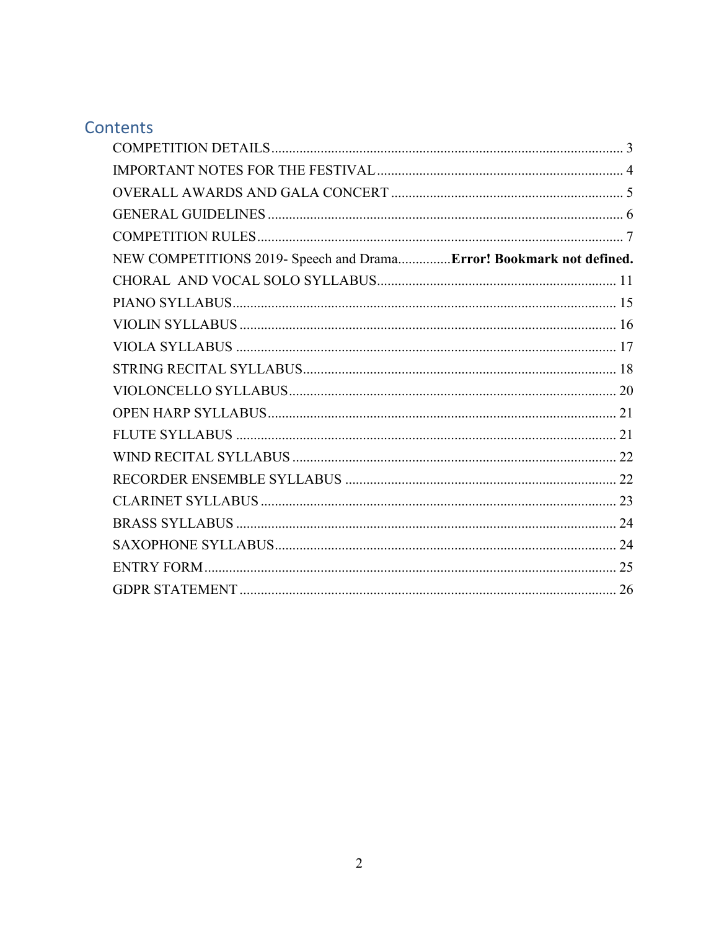# Contents

| NEW COMPETITIONS 2019- Speech and DramaError! Bookmark not defined. |  |
|---------------------------------------------------------------------|--|
|                                                                     |  |
|                                                                     |  |
|                                                                     |  |
|                                                                     |  |
|                                                                     |  |
|                                                                     |  |
|                                                                     |  |
|                                                                     |  |
|                                                                     |  |
|                                                                     |  |
|                                                                     |  |
|                                                                     |  |
|                                                                     |  |
|                                                                     |  |
|                                                                     |  |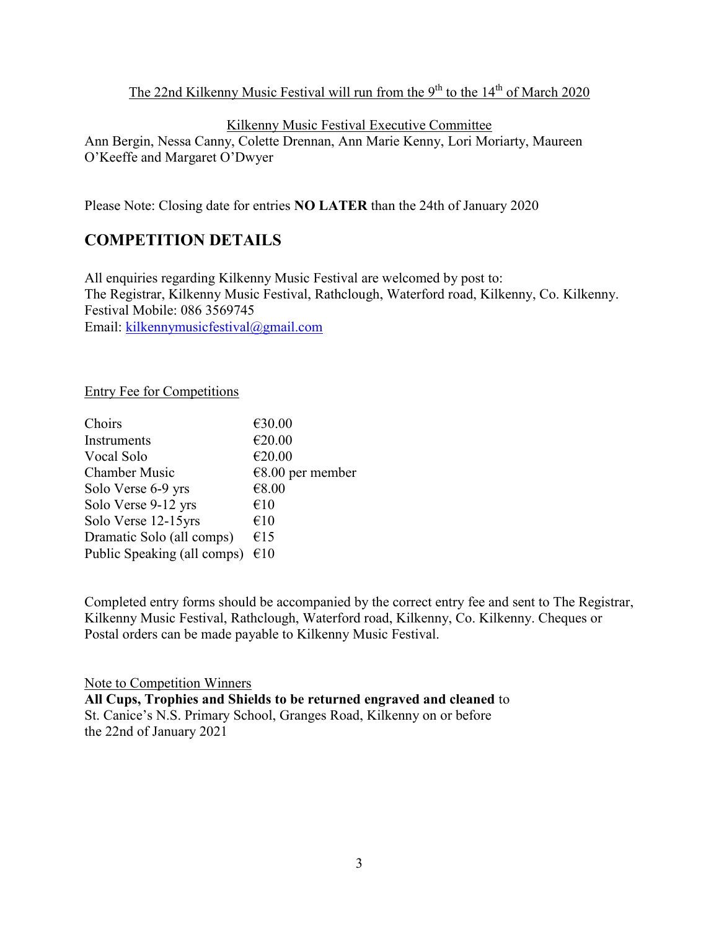### The 22nd Kilkenny Music Festival will run from the  $9<sup>th</sup>$  to the  $14<sup>th</sup>$  of March 2020

#### Kilkenny Music Festival Executive Committee

Ann Bergin, Nessa Canny, Colette Drennan, Ann Marie Kenny, Lori Moriarty, Maureen O'Keeffe and Margaret O'Dwyer

<span id="page-2-0"></span>Please Note: Closing date for entries **NO LATER** than the 24th of January 2020

# **COMPETITION DETAILS**

All enquiries regarding Kilkenny Music Festival are welcomed by post to: The Registrar, Kilkenny Music Festival, Rathclough, Waterford road, Kilkenny, Co. Kilkenny. Festival Mobile: 086 3569745 Email: [kilkennymusicfestival@gmail.com](mailto:kilkennymusicfestival@gmail.com)

Entry Fee for Competitions

| Choirs                      | €30.00             |
|-----------------------------|--------------------|
| Instruments                 | €20.00             |
| Vocal Solo                  | €20.00             |
| <b>Chamber Music</b>        | $€8.00$ per member |
| Solo Verse 6-9 yrs          | €8.00              |
| Solo Verse 9-12 yrs         | €10                |
| Solo Verse 12-15yrs         | €10                |
| Dramatic Solo (all comps)   | €15                |
| Public Speaking (all comps) | €10                |
|                             |                    |

Completed entry forms should be accompanied by the correct entry fee and sent to The Registrar, Kilkenny Music Festival, Rathclough, Waterford road, Kilkenny, Co. Kilkenny. Cheques or Postal orders can be made payable to Kilkenny Music Festival.

Note to Competition Winners **All Cups, Trophies and Shields to be returned engraved and cleaned** to St. Canice's N.S. Primary School, Granges Road, Kilkenny on or before the 22nd of January 2021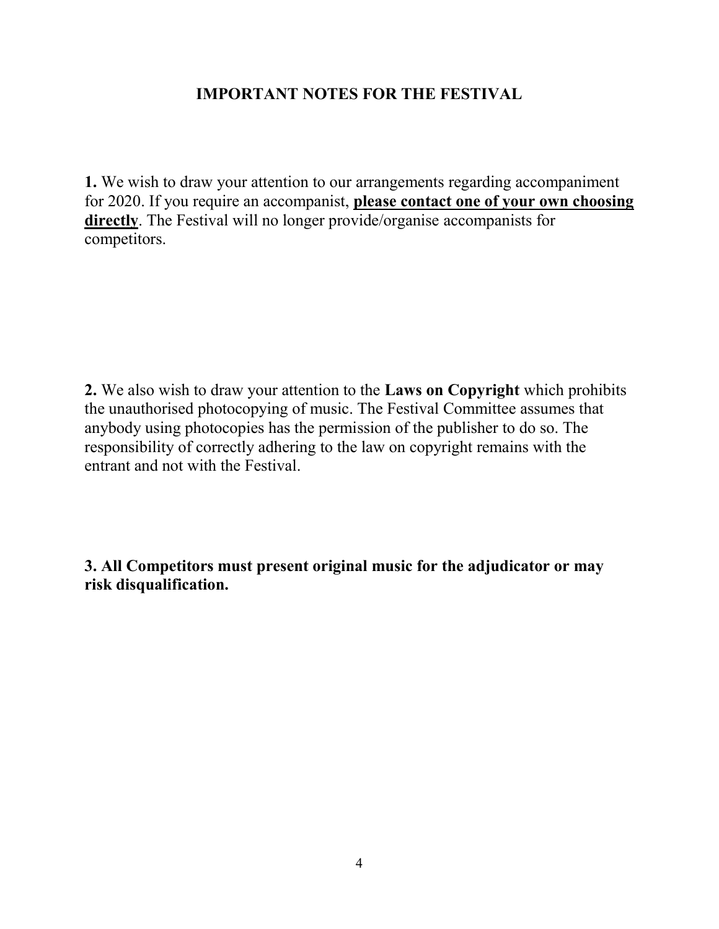# **IMPORTANT NOTES FOR THE FESTIVAL**

<span id="page-3-0"></span>**1.** We wish to draw your attention to our arrangements regarding accompaniment for 2020. If you require an accompanist, **please contact one of your own choosing directly**. The Festival will no longer provide/organise accompanists for competitors.

**2.** We also wish to draw your attention to the **Laws on Copyright** which prohibits the unauthorised photocopying of music. The Festival Committee assumes that anybody using photocopies has the permission of the publisher to do so. The responsibility of correctly adhering to the law on copyright remains with the entrant and not with the Festival.

**3. All Competitors must present original music for the adjudicator or may risk disqualification.**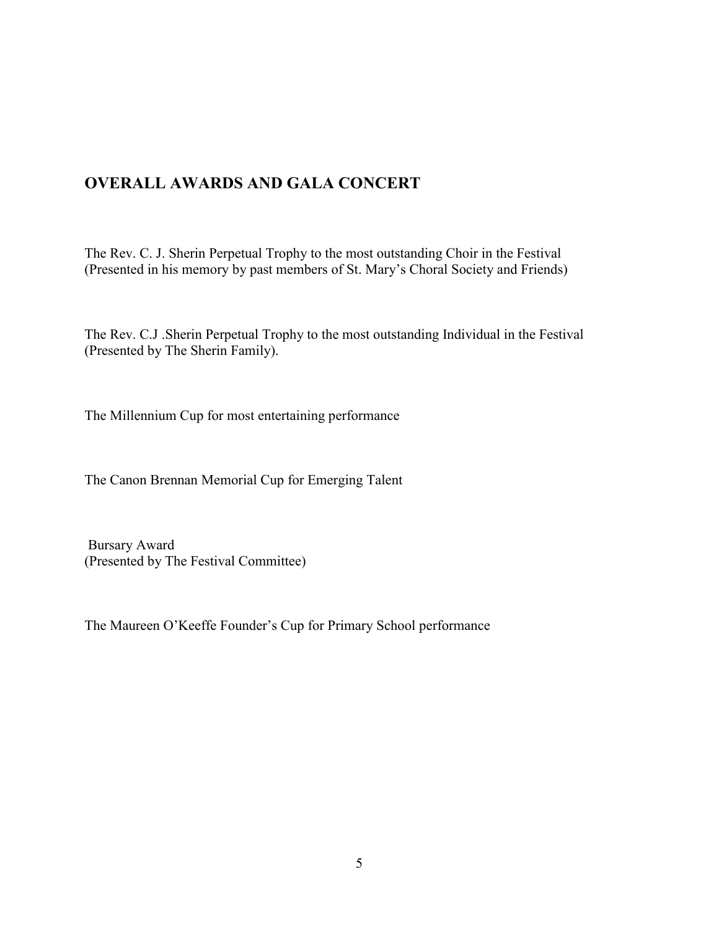# <span id="page-4-0"></span>**OVERALL AWARDS AND GALA CONCERT**

The Rev. C. J. Sherin Perpetual Trophy to the most outstanding Choir in the Festival (Presented in his memory by past members of St. Mary's Choral Society and Friends)

The Rev. C.J .Sherin Perpetual Trophy to the most outstanding Individual in the Festival (Presented by The Sherin Family).

The Millennium Cup for most entertaining performance

The Canon Brennan Memorial Cup for Emerging Talent

Bursary Award (Presented by The Festival Committee)

The Maureen O'Keeffe Founder's Cup for Primary School performance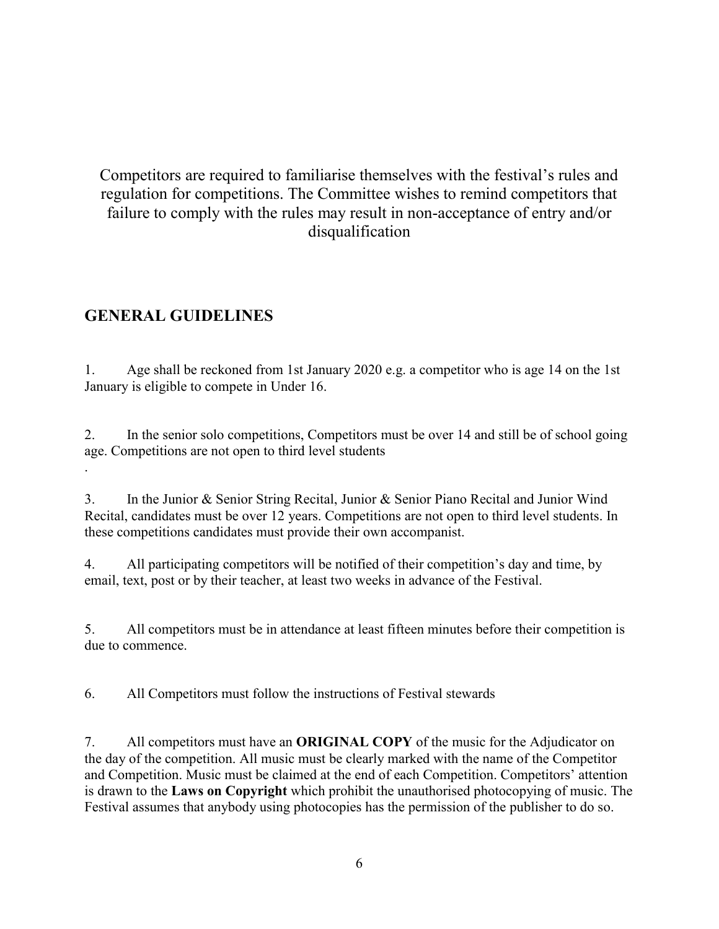# Competitors are required to familiarise themselves with the festival's rules and regulation for competitions. The Committee wishes to remind competitors that failure to comply with the rules may result in non-acceptance of entry and/or disqualification

# <span id="page-5-0"></span>**GENERAL GUIDELINES**

1. Age shall be reckoned from 1st January 2020 e.g. a competitor who is age 14 on the 1st January is eligible to compete in Under 16.

2. In the senior solo competitions, Competitors must be over 14 and still be of school going age. Competitions are not open to third level students .

3. In the Junior & Senior String Recital, Junior & Senior Piano Recital and Junior Wind Recital, candidates must be over 12 years. Competitions are not open to third level students. In these competitions candidates must provide their own accompanist.

4. All participating competitors will be notified of their competition's day and time, by email, text, post or by their teacher, at least two weeks in advance of the Festival.

5. All competitors must be in attendance at least fifteen minutes before their competition is due to commence.

6. All Competitors must follow the instructions of Festival stewards

7. All competitors must have an **ORIGINAL COPY** of the music for the Adjudicator on the day of the competition. All music must be clearly marked with the name of the Competitor and Competition. Music must be claimed at the end of each Competition. Competitors' attention is drawn to the **Laws on Copyright** which prohibit the unauthorised photocopying of music. The Festival assumes that anybody using photocopies has the permission of the publisher to do so.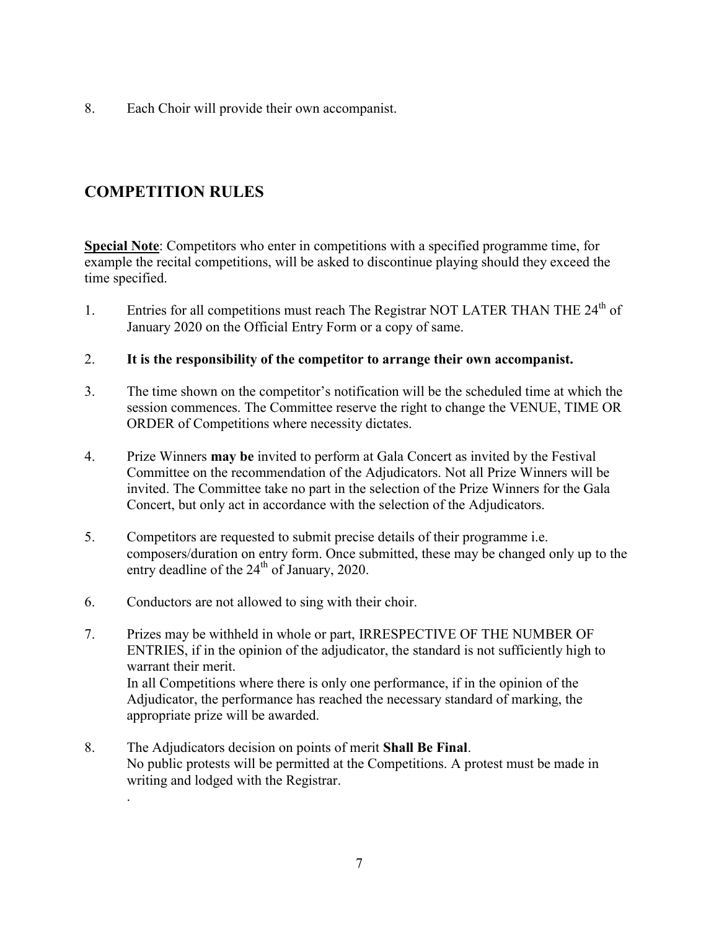8. Each Choir will provide their own accompanist.

# <span id="page-6-0"></span>**COMPETITION RULES**

**Special Note**: Competitors who enter in competitions with a specified programme time, for example the recital competitions, will be asked to discontinue playing should they exceed the time specified.

- 1. Entries for all competitions must reach The Registrar NOT LATER THAN THE  $24<sup>th</sup>$  of January 2020 on the Official Entry Form or a copy of same.
- 2. **It is the responsibility of the competitor to arrange their own accompanist.**
- 3. The time shown on the competitor's notification will be the scheduled time at which the session commences. The Committee reserve the right to change the VENUE, TIME OR ORDER of Competitions where necessity dictates.
- 4. Prize Winners **may be** invited to perform at Gala Concert as invited by the Festival Committee on the recommendation of the Adjudicators. Not all Prize Winners will be invited. The Committee take no part in the selection of the Prize Winners for the Gala Concert, but only act in accordance with the selection of the Adjudicators.
- 5. Competitors are requested to submit precise details of their programme i.e. composers/duration on entry form. Once submitted, these may be changed only up to the entry deadline of the  $24<sup>th</sup>$  of January, 2020.
- 6. Conductors are not allowed to sing with their choir.

.

- 7. Prizes may be withheld in whole or part, IRRESPECTIVE OF THE NUMBER OF ENTRIES, if in the opinion of the adjudicator, the standard is not sufficiently high to warrant their merit. In all Competitions where there is only one performance, if in the opinion of the Adjudicator, the performance has reached the necessary standard of marking, the appropriate prize will be awarded.
- 8. The Adjudicators decision on points of merit **Shall Be Final**. No public protests will be permitted at the Competitions. A protest must be made in writing and lodged with the Registrar.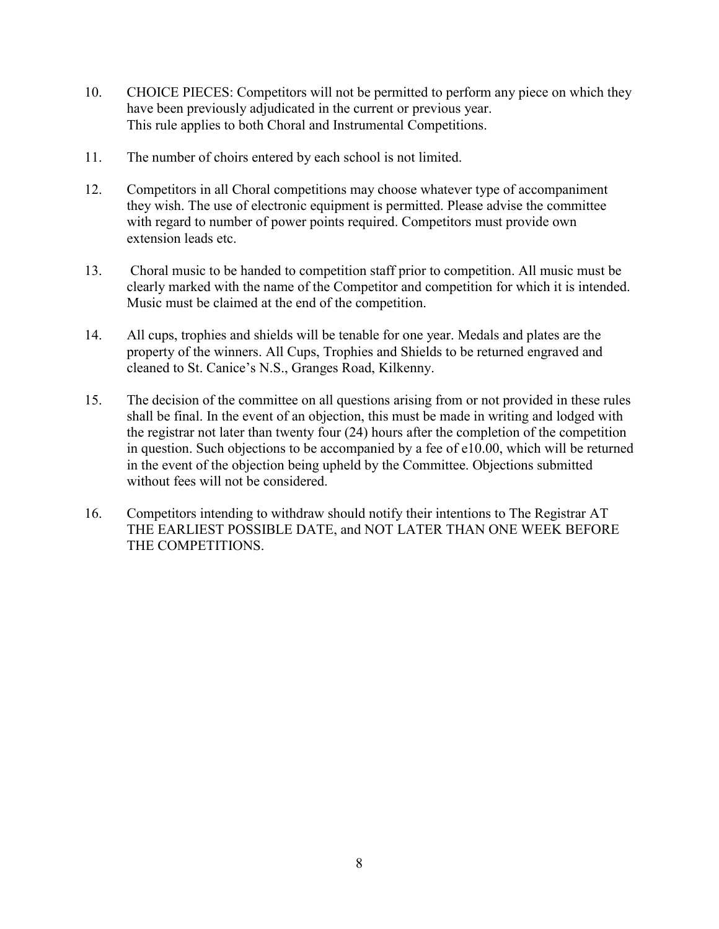- 10. CHOICE PIECES: Competitors will not be permitted to perform any piece on which they have been previously adjudicated in the current or previous year. This rule applies to both Choral and Instrumental Competitions.
- 11. The number of choirs entered by each school is not limited.
- 12. Competitors in all Choral competitions may choose whatever type of accompaniment they wish. The use of electronic equipment is permitted. Please advise the committee with regard to number of power points required. Competitors must provide own extension leads etc.
- 13. Choral music to be handed to competition staff prior to competition. All music must be clearly marked with the name of the Competitor and competition for which it is intended. Music must be claimed at the end of the competition.
- 14. All cups, trophies and shields will be tenable for one year. Medals and plates are the property of the winners. All Cups, Trophies and Shields to be returned engraved and cleaned to St. Canice's N.S., Granges Road, Kilkenny.
- 15. The decision of the committee on all questions arising from or not provided in these rules shall be final. In the event of an objection, this must be made in writing and lodged with the registrar not later than twenty four (24) hours after the completion of the competition in question. Such objections to be accompanied by a fee of e10.00, which will be returned in the event of the objection being upheld by the Committee. Objections submitted without fees will not be considered.
- 16. Competitors intending to withdraw should notify their intentions to The Registrar AT THE EARLIEST POSSIBLE DATE, and NOT LATER THAN ONE WEEK BEFORE THE COMPETITIONS.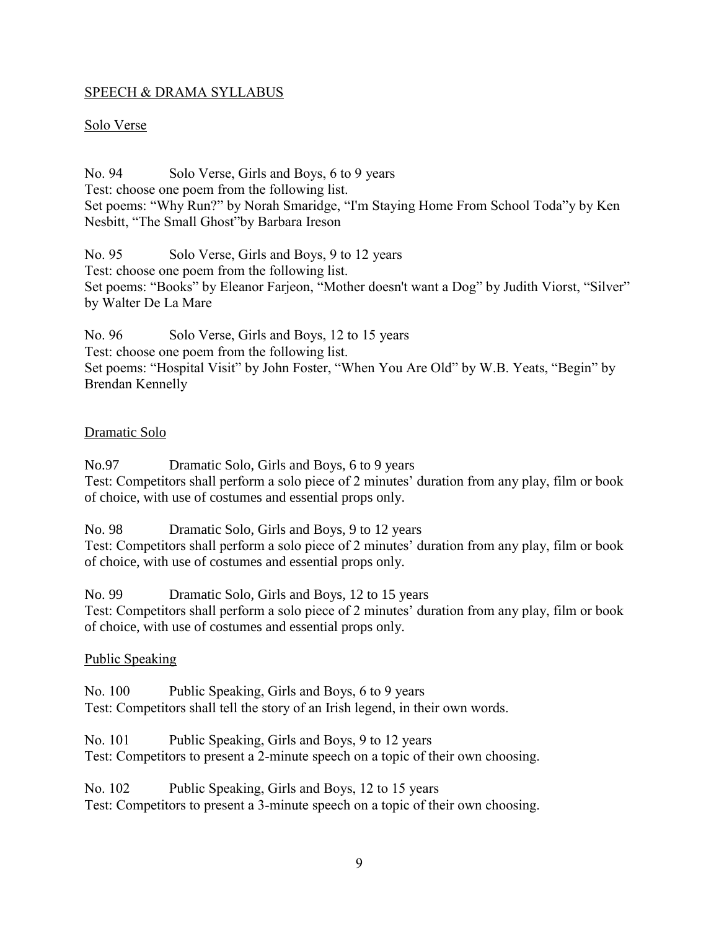#### SPEECH & DRAMA SYLLABUS

#### Solo Verse

No. 94 Solo Verse, Girls and Boys, 6 to 9 years Test: choose one poem from the following list. Set poems: "Why Run?" by Norah Smaridge, "I'm Staying Home From School Toda"y by Ken Nesbitt, "The Small Ghost"by Barbara Ireson

No. 95 Solo Verse, Girls and Boys, 9 to 12 years Test: choose one poem from the following list. Set poems: "Books" by Eleanor Farjeon, "Mother doesn't want a Dog" by Judith Viorst, "Silver" by Walter De La Mare

No. 96 Solo Verse, Girls and Boys, 12 to 15 years Test: choose one poem from the following list. Set poems: "Hospital Visit" by John Foster, "When You Are Old" by W.B. Yeats, "Begin" by Brendan Kennelly

#### Dramatic Solo

No.97 Dramatic Solo, Girls and Boys, 6 to 9 years Test: Competitors shall perform a solo piece of 2 minutes' duration from any play, film or book of choice, with use of costumes and essential props only.

No. 98 Dramatic Solo, Girls and Boys, 9 to 12 years

Test: Competitors shall perform a solo piece of 2 minutes' duration from any play, film or book of choice, with use of costumes and essential props only.

No. 99 Dramatic Solo, Girls and Boys, 12 to 15 years

Test: Competitors shall perform a solo piece of 2 minutes' duration from any play, film or book of choice, with use of costumes and essential props only.

#### Public Speaking

No. 100 Public Speaking, Girls and Boys, 6 to 9 years Test: Competitors shall tell the story of an Irish legend, in their own words.

No. 101 Public Speaking, Girls and Boys, 9 to 12 years Test: Competitors to present a 2-minute speech on a topic of their own choosing.

No. 102 Public Speaking, Girls and Boys, 12 to 15 years Test: Competitors to present a 3-minute speech on a topic of their own choosing.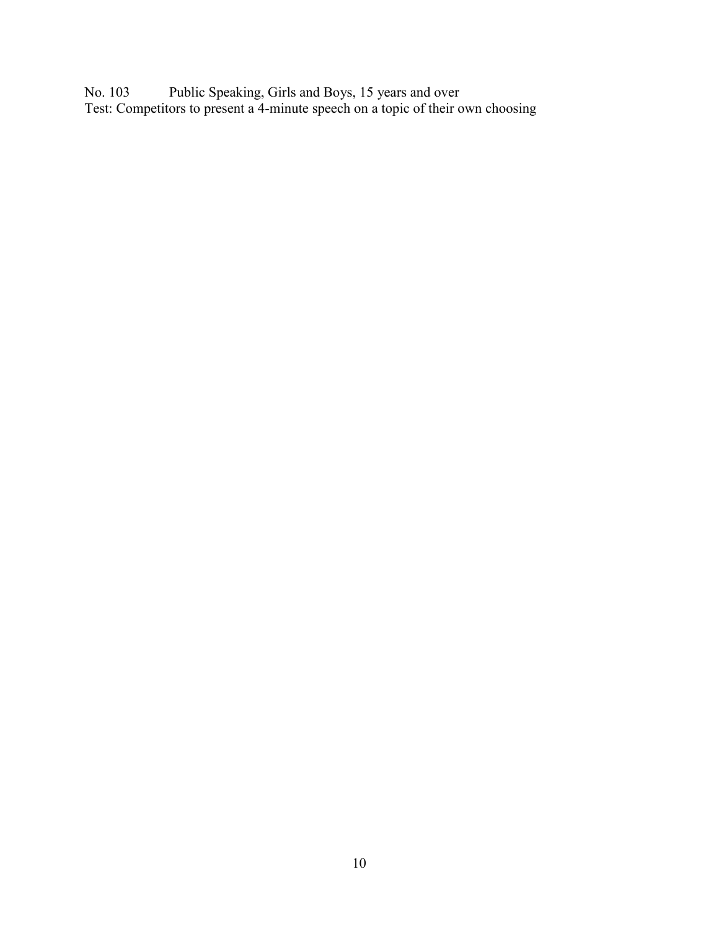No. 103 Public Speaking, Girls and Boys, 15 years and over Test: Competitors to present a 4-minute speech on a topic of their own choosing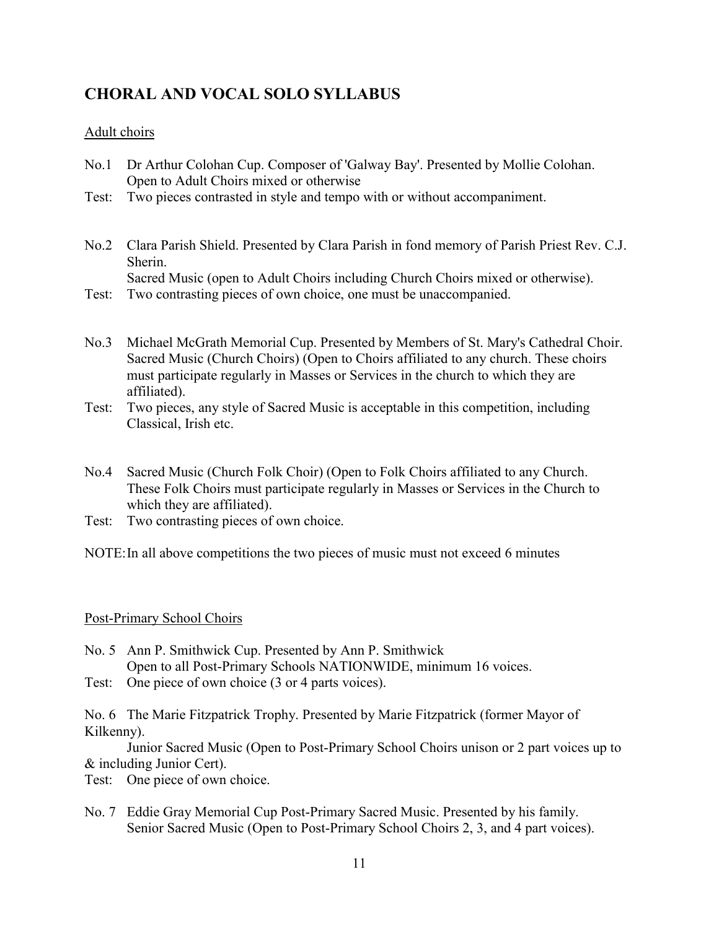# <span id="page-10-0"></span>**CHORAL AND VOCAL SOLO SYLLABUS**

### Adult choirs

- No.1 Dr Arthur Colohan Cup. Composer of 'Galway Bay'. Presented by Mollie Colohan. Open to Adult Choirs mixed or otherwise
- Test: Two pieces contrasted in style and tempo with or without accompaniment.
- No.2 Clara Parish Shield. Presented by Clara Parish in fond memory of Parish Priest Rev. C.J. Sherin.

Sacred Music (open to Adult Choirs including Church Choirs mixed or otherwise).

- Test: Two contrasting pieces of own choice, one must be unaccompanied.
- No.3 Michael McGrath Memorial Cup. Presented by Members of St. Mary's Cathedral Choir. Sacred Music (Church Choirs) (Open to Choirs affiliated to any church. These choirs must participate regularly in Masses or Services in the church to which they are affiliated).
- Test: Two pieces, any style of Sacred Music is acceptable in this competition, including Classical, Irish etc.
- No.4 Sacred Music (Church Folk Choir) (Open to Folk Choirs affiliated to any Church. These Folk Choirs must participate regularly in Masses or Services in the Church to which they are affiliated).
- Test: Two contrasting pieces of own choice.
- NOTE:In all above competitions the two pieces of music must not exceed 6 minutes

#### Post-Primary School Choirs

- No. 5 Ann P. Smithwick Cup. Presented by Ann P. Smithwick Open to all Post-Primary Schools NATIONWIDE, minimum 16 voices.
- Test: One piece of own choice (3 or 4 parts voices).

No. 6 The Marie Fitzpatrick Trophy. Presented by Marie Fitzpatrick (former Mayor of Kilkenny).

Junior Sacred Music (Open to Post-Primary School Choirs unison or 2 part voices up to & including Junior Cert).

Test: One piece of own choice.

No. 7 Eddie Gray Memorial Cup Post-Primary Sacred Music. Presented by his family. Senior Sacred Music (Open to Post-Primary School Choirs 2, 3, and 4 part voices).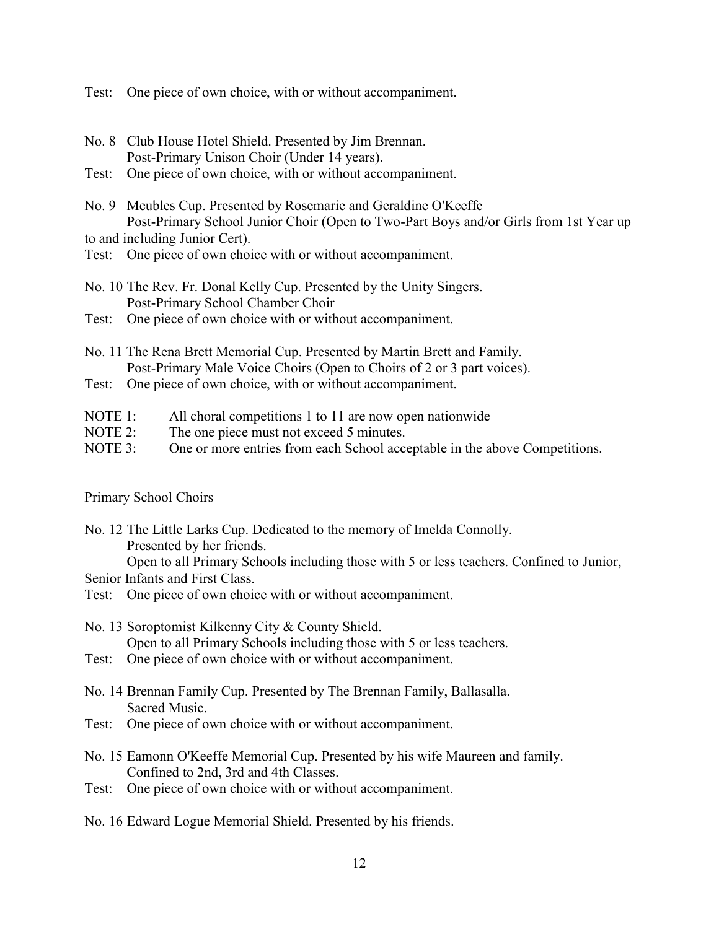Test: One piece of own choice, with or without accompaniment.

- No. 8 Club House Hotel Shield. Presented by Jim Brennan. Post-Primary Unison Choir (Under 14 years).
- Test: One piece of own choice, with or without accompaniment.
- No. 9 Meubles Cup. Presented by Rosemarie and Geraldine O'Keeffe Post-Primary School Junior Choir (Open to Two-Part Boys and/or Girls from 1st Year up to and including Junior Cert).
- Test: One piece of own choice with or without accompaniment.
- No. 10 The Rev. Fr. Donal Kelly Cup. Presented by the Unity Singers. Post-Primary School Chamber Choir
- Test: One piece of own choice with or without accompaniment.
- No. 11 The Rena Brett Memorial Cup. Presented by Martin Brett and Family. Post-Primary Male Voice Choirs (Open to Choirs of 2 or 3 part voices).
- Test: One piece of own choice, with or without accompaniment.
- NOTE 1: All choral competitions 1 to 11 are now open nationwide
- NOTE 2: The one piece must not exceed 5 minutes.
- NOTE 3: One or more entries from each School acceptable in the above Competitions.

#### Primary School Choirs

- No. 12 The Little Larks Cup. Dedicated to the memory of Imelda Connolly. Presented by her friends. Open to all Primary Schools including those with 5 or less teachers. Confined to Junior, Senior Infants and First Class.
- Test: One piece of own choice with or without accompaniment.
- No. 13 Soroptomist Kilkenny City & County Shield. Open to all Primary Schools including those with 5 or less teachers.
- Test: One piece of own choice with or without accompaniment.
- No. 14 Brennan Family Cup. Presented by The Brennan Family, Ballasalla. Sacred Music.
- Test: One piece of own choice with or without accompaniment.
- No. 15 Eamonn O'Keeffe Memorial Cup. Presented by his wife Maureen and family. Confined to 2nd, 3rd and 4th Classes.
- Test: One piece of own choice with or without accompaniment.

No. 16 Edward Logue Memorial Shield. Presented by his friends.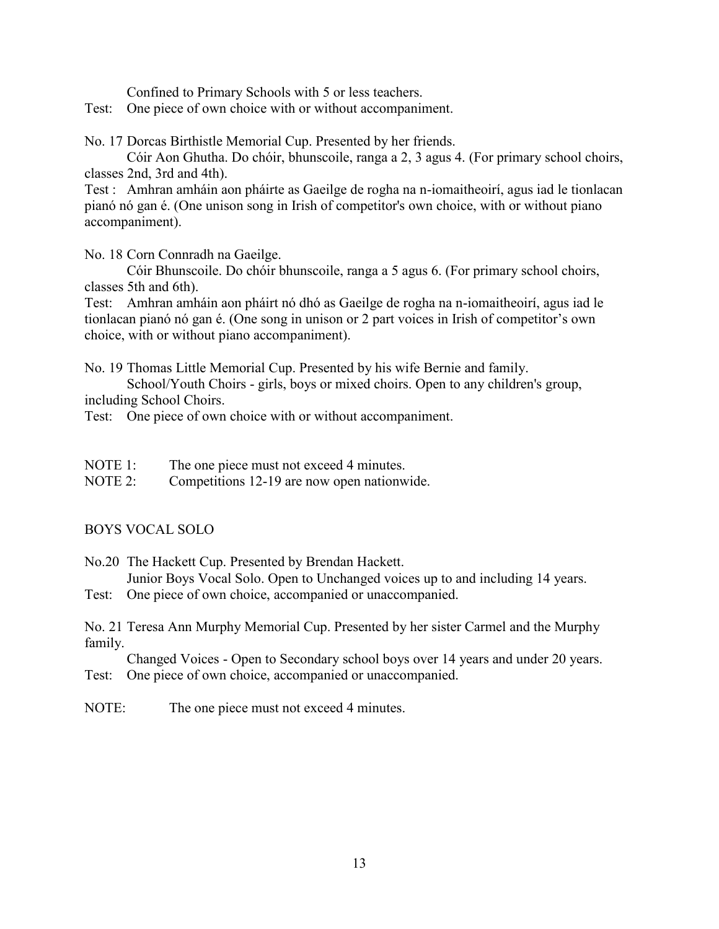Confined to Primary Schools with 5 or less teachers.

Test: One piece of own choice with or without accompaniment.

No. 17 Dorcas Birthistle Memorial Cup. Presented by her friends.

Cóir Aon Ghutha. Do chóir, bhunscoile, ranga a 2, 3 agus 4. (For primary school choirs, classes 2nd, 3rd and 4th).

Test : Amhran amháin aon pháirte as Gaeilge de rogha na n-iomaitheoirí, agus iad le tionlacan pianó nó gan é. (One unison song in Irish of competitor's own choice, with or without piano accompaniment).

No. 18 Corn Connradh na Gaeilge.

Cóir Bhunscoile. Do chóir bhunscoile, ranga a 5 agus 6. (For primary school choirs, classes 5th and 6th).

Test: Amhran amháin aon pháirt nó dhó as Gaeilge de rogha na n-iomaitheoirí, agus iad le tionlacan pianó nó gan é. (One song in unison or 2 part voices in Irish of competitor's own choice, with or without piano accompaniment).

No. 19 Thomas Little Memorial Cup. Presented by his wife Bernie and family.

School/Youth Choirs - girls, boys or mixed choirs. Open to any children's group, including School Choirs.

Test: One piece of own choice with or without accompaniment.

- NOTE 1: The one piece must not exceed 4 minutes.
- NOTE 2: Competitions 12-19 are now open nationwide.

#### BOYS VOCAL SOLO

No.20 The Hackett Cup. Presented by Brendan Hackett. Junior Boys Vocal Solo. Open to Unchanged voices up to and including 14 years.

Test: One piece of own choice, accompanied or unaccompanied.

No. 21 Teresa Ann Murphy Memorial Cup. Presented by her sister Carmel and the Murphy family.

Changed Voices - Open to Secondary school boys over 14 years and under 20 years. Test: One piece of own choice, accompanied or unaccompanied.

NOTE: The one piece must not exceed 4 minutes.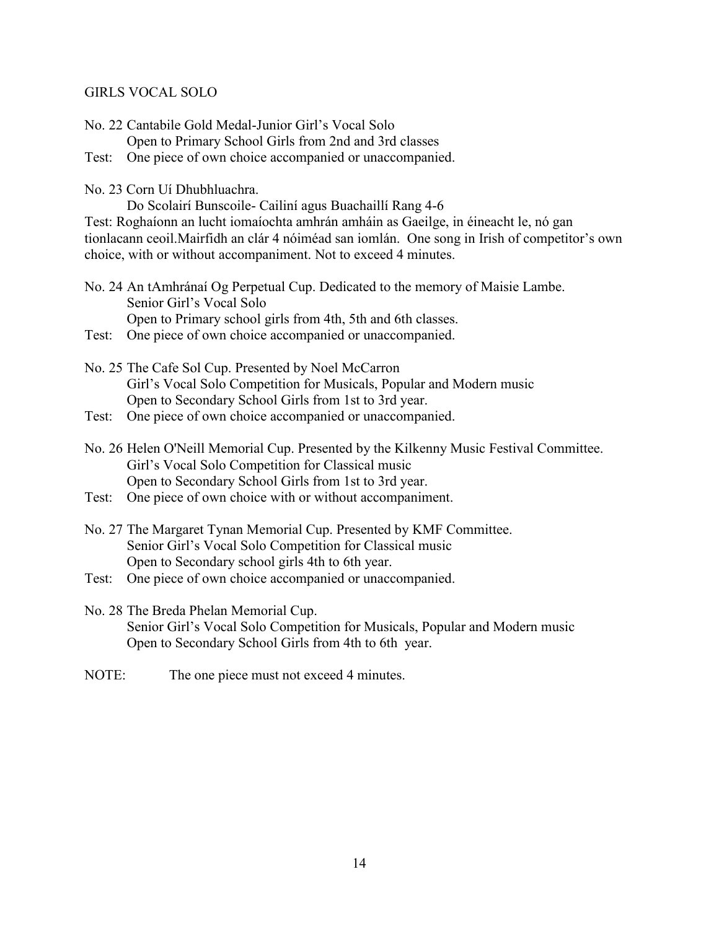#### GIRLS VOCAL SOLO

No. 22 Cantabile Gold Medal-Junior Girl's Vocal Solo Open to Primary School Girls from 2nd and 3rd classes Test: One piece of own choice accompanied or unaccompanied.

No. 23 Corn Uí Dhubhluachra.

Do Scolairí Bunscoile- Cailiní agus Buachaillí Rang 4-6

Test: Roghaíonn an lucht iomaíochta amhrán amháin as Gaeilge, in éineacht le, nó gan tionlacann ceoil.Mairfidh an clár 4 nóiméad san iomlán. One song in Irish of competitor's own choice, with or without accompaniment. Not to exceed 4 minutes.

- No. 24 An tAmhránaí Og Perpetual Cup. Dedicated to the memory of Maisie Lambe. Senior Girl's Vocal Solo Open to Primary school girls from 4th, 5th and 6th classes.
- Test: One piece of own choice accompanied or unaccompanied.
- No. 25 The Cafe Sol Cup. Presented by Noel McCarron Girl's Vocal Solo Competition for Musicals, Popular and Modern music Open to Secondary School Girls from 1st to 3rd year.
- Test: One piece of own choice accompanied or unaccompanied.
- No. 26 Helen O'Neill Memorial Cup. Presented by the Kilkenny Music Festival Committee. Girl's Vocal Solo Competition for Classical music Open to Secondary School Girls from 1st to 3rd year.
- Test: One piece of own choice with or without accompaniment.
- No. 27 The Margaret Tynan Memorial Cup. Presented by KMF Committee. Senior Girl's Vocal Solo Competition for Classical music Open to Secondary school girls 4th to 6th year.
- Test: One piece of own choice accompanied or unaccompanied.
- No. 28 The Breda Phelan Memorial Cup. Senior Girl's Vocal Solo Competition for Musicals, Popular and Modern music Open to Secondary School Girls from 4th to 6th year.
- NOTE: The one piece must not exceed 4 minutes.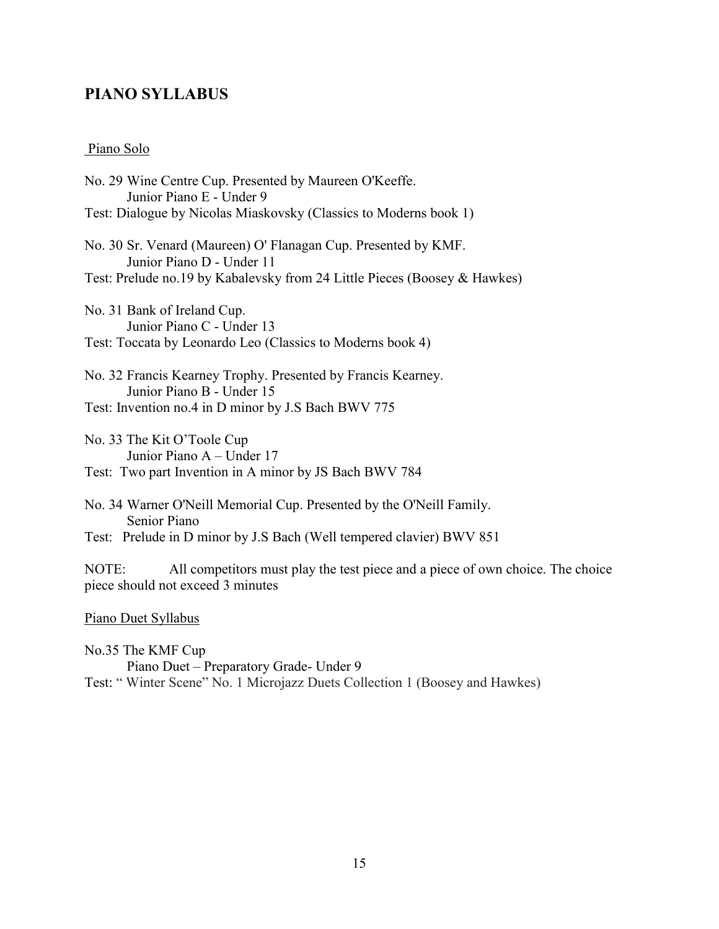### <span id="page-14-0"></span>**PIANO SYLLABUS**

#### Piano Solo

No. 29 Wine Centre Cup. Presented by Maureen O'Keeffe. Junior Piano E - Under 9 Test: Dialogue by Nicolas Miaskovsky (Classics to Moderns book 1) No. 30 Sr. Venard (Maureen) O' Flanagan Cup. Presented by KMF. Junior Piano D - Under 11 Test: Prelude no.19 by Kabalevsky from 24 Little Pieces (Boosey & Hawkes) No. 31 Bank of Ireland Cup. Junior Piano C - Under 13 Test: Toccata by Leonardo Leo (Classics to Moderns book 4) No. 32 Francis Kearney Trophy. Presented by Francis Kearney. Junior Piano B - Under 15 Test: Invention no.4 in D minor by J.S Bach BWV 775 No. 33 The Kit O'Toole Cup Junior Piano A – Under 17 Test: Two part Invention in A minor by JS Bach BWV 784 No. 34 Warner O'Neill Memorial Cup. Presented by the O'Neill Family. Senior Piano Test: Prelude in D minor by J.S Bach (Well tempered clavier) BWV 851 NOTE: All competitors must play the test piece and a piece of own choice. The choice piece should not exceed 3 minutes

Piano Duet Syllabus

No.35 The KMF Cup Piano Duet – Preparatory Grade- Under 9 Test: " Winter Scene" No. 1 Microjazz Duets Collection 1 (Boosey and Hawkes)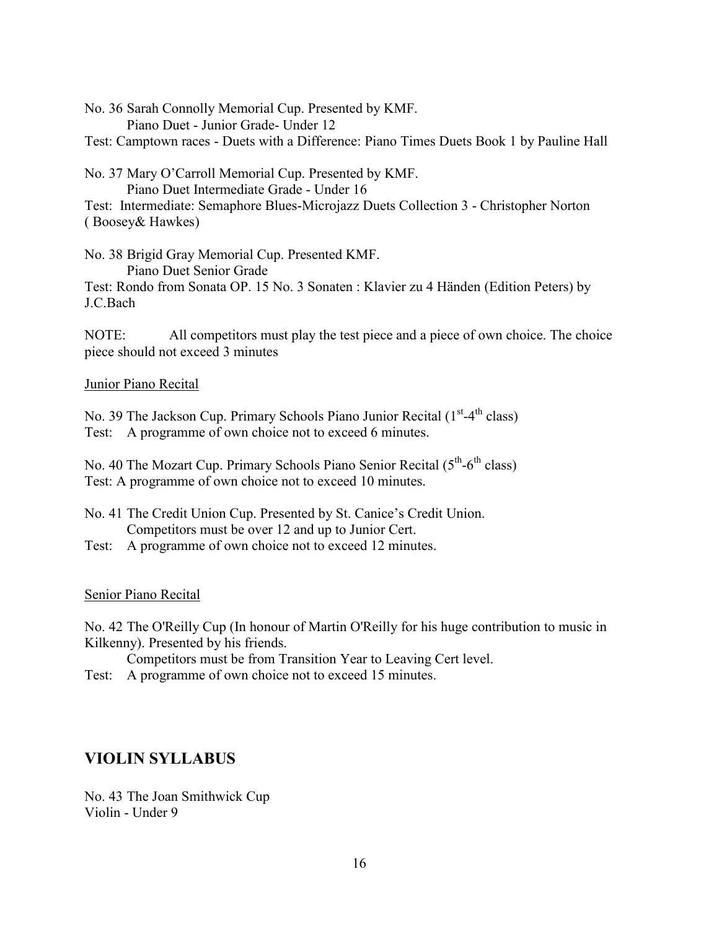No. 36 Sarah Connolly Memorial Cup. Presented by KMF. Piano Duet - Junior Grade- Under 12

Test: Camptown races - Duets with a Difference: Piano Times Duets Book 1 by Pauline Hall

No. 37 Mary O'Carroll Memorial Cup. Presented by KMF. Piano Duet Intermediate Grade - Under 16

Test: Intermediate: Semaphore Blues-Microjazz Duets Collection 3 - Christopher Norton ( Boosey& Hawkes)

No. 38 Brigid Gray Memorial Cup. Presented KMF.

Piano Duet Senior Grade

Test: Rondo from Sonata OP. 15 No. 3 Sonaten : Klavier zu 4 Händen (Edition Peters) by J.C.Bach

NOTE: All competitors must play the test piece and a piece of own choice. The choice piece should not exceed 3 minutes

Junior Piano Recital

No. 39 The Jackson Cup. Primary Schools Piano Junior Recital (1<sup>st</sup>-4<sup>th</sup> class) Test: A programme of own choice not to exceed 6 minutes.

No. 40 The Mozart Cup. Primary Schools Piano Senior Recital (5<sup>th</sup>-6<sup>th</sup> class) Test: A programme of own choice not to exceed 10 minutes.

No. 41 The Credit Union Cup. Presented by St. Canice's Credit Union. Competitors must be over 12 and up to Junior Cert.

Test: A programme of own choice not to exceed 12 minutes.

### Senior Piano Recital

No. 42 The O'Reilly Cup (In honour of Martin O'Reilly for his huge contribution to music in Kilkenny). Presented by his friends.

Competitors must be from Transition Year to Leaving Cert level.

Test: A programme of own choice not to exceed 15 minutes.

# <span id="page-15-0"></span>**VIOLIN SYLLABUS**

No. 43 The Joan Smithwick Cup Violin - Under 9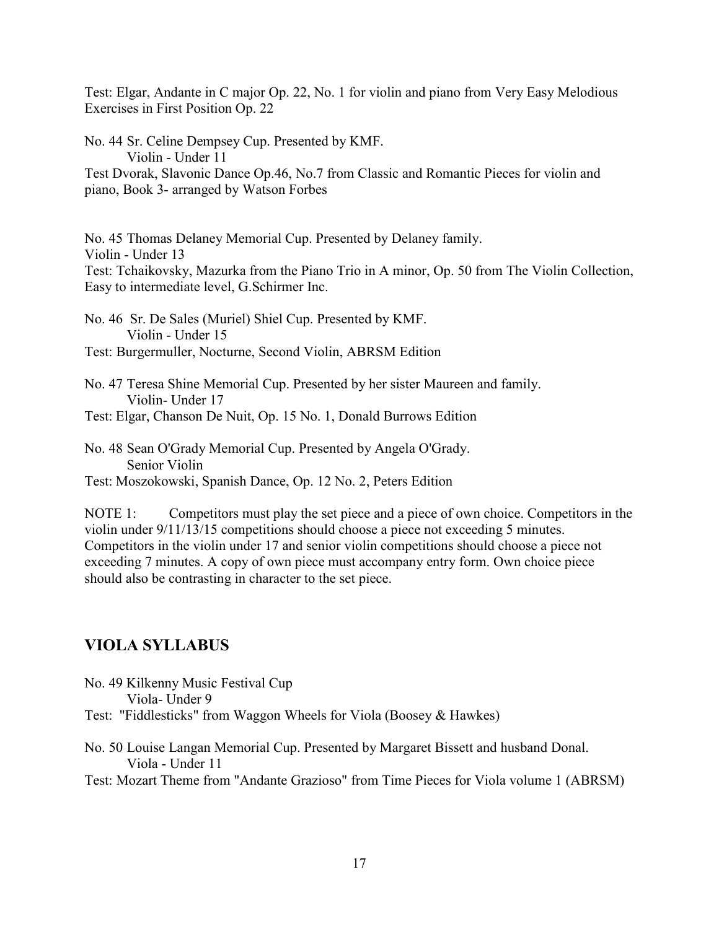Test: Elgar, Andante in C major Op. 22, No. 1 for violin and piano from Very Easy Melodious Exercises in First Position Op. 22

No. 44 Sr. Celine Dempsey Cup. Presented by KMF. Violin - Under 11 Test Dvorak, Slavonic Dance Op.46, No.7 from Classic and Romantic Pieces for violin and piano, Book 3- arranged by Watson Forbes

No. 45 Thomas Delaney Memorial Cup. Presented by Delaney family. Violin - Under 13 Test: Tchaikovsky, Mazurka from the Piano Trio in A minor, Op. 50 from The Violin Collection, Easy to intermediate level, G.Schirmer Inc. No. 46 Sr. De Sales (Muriel) Shiel Cup. Presented by KMF.

Violin - Under 15 Test: Burgermuller, Nocturne, Second Violin, ABRSM Edition

No. 47 Teresa Shine Memorial Cup. Presented by her sister Maureen and family. Violin- Under 17

Test: Elgar, Chanson De Nuit, Op. 15 No. 1, Donald Burrows Edition

No. 48 Sean O'Grady Memorial Cup. Presented by Angela O'Grady. Senior Violin Test: Moszokowski, Spanish Dance, Op. 12 No. 2, Peters Edition

NOTE 1: Competitors must play the set piece and a piece of own choice. Competitors in the violin under 9/11/13/15 competitions should choose a piece not exceeding 5 minutes. Competitors in the violin under 17 and senior violin competitions should choose a piece not exceeding 7 minutes. A copy of own piece must accompany entry form. Own choice piece should also be contrasting in character to the set piece.

# <span id="page-16-0"></span>**VIOLA SYLLABUS**

No. 49 Kilkenny Music Festival Cup Viola- Under 9 Test: "Fiddlesticks" from Waggon Wheels for Viola (Boosey & Hawkes)

No. 50 Louise Langan Memorial Cup. Presented by Margaret Bissett and husband Donal. Viola - Under 11

Test: Mozart Theme from "Andante Grazioso" from Time Pieces for Viola volume 1 (ABRSM)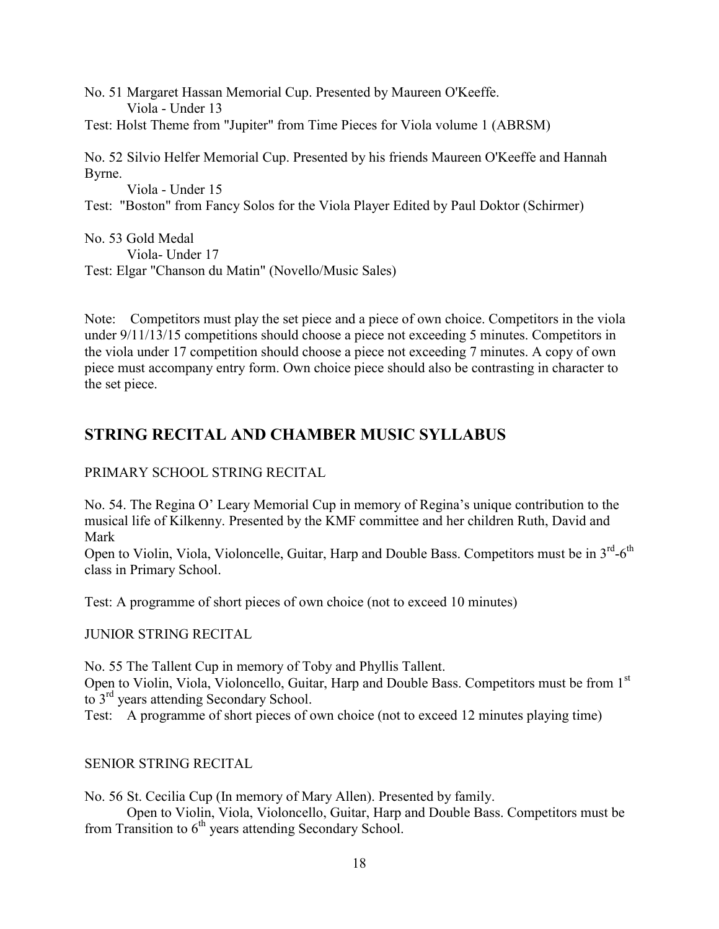No. 51 Margaret Hassan Memorial Cup. Presented by Maureen O'Keeffe. Viola - Under 13 Test: Holst Theme from "Jupiter" from Time Pieces for Viola volume 1 (ABRSM)

No. 52 Silvio Helfer Memorial Cup. Presented by his friends Maureen O'Keeffe and Hannah Byrne.

Viola - Under 15

Test: "Boston" from Fancy Solos for the Viola Player Edited by Paul Doktor (Schirmer)

No. 53 Gold Medal Viola- Under 17 Test: Elgar "Chanson du Matin" (Novello/Music Sales)

Note: Competitors must play the set piece and a piece of own choice. Competitors in the viola under 9/11/13/15 competitions should choose a piece not exceeding 5 minutes. Competitors in the viola under 17 competition should choose a piece not exceeding 7 minutes. A copy of own piece must accompany entry form. Own choice piece should also be contrasting in character to the set piece.

# <span id="page-17-0"></span>**STRING RECITAL AND CHAMBER MUSIC SYLLABUS**

### PRIMARY SCHOOL STRING RECITAL

No. 54. The Regina O' Leary Memorial Cup in memory of Regina's unique contribution to the musical life of Kilkenny. Presented by the KMF committee and her children Ruth, David and Mark

Open to Violin, Viola, Violoncelle, Guitar, Harp and Double Bass. Competitors must be in  $3^{\text{rd}}$ -6<sup>th</sup> class in Primary School.

Test: A programme of short pieces of own choice (not to exceed 10 minutes)

### JUNIOR STRING RECITAL

No. 55 The Tallent Cup in memory of Toby and Phyllis Tallent. Open to Violin, Viola, Violoncello, Guitar, Harp and Double Bass. Competitors must be from 1<sup>st</sup> to 3<sup>rd</sup> years attending Secondary School.

Test: A programme of short pieces of own choice (not to exceed 12 minutes playing time)

### SENIOR STRING RECITAL

No. 56 St. Cecilia Cup (In memory of Mary Allen). Presented by family.

Open to Violin, Viola, Violoncello, Guitar, Harp and Double Bass. Competitors must be from Transition to 6<sup>th</sup> years attending Secondary School.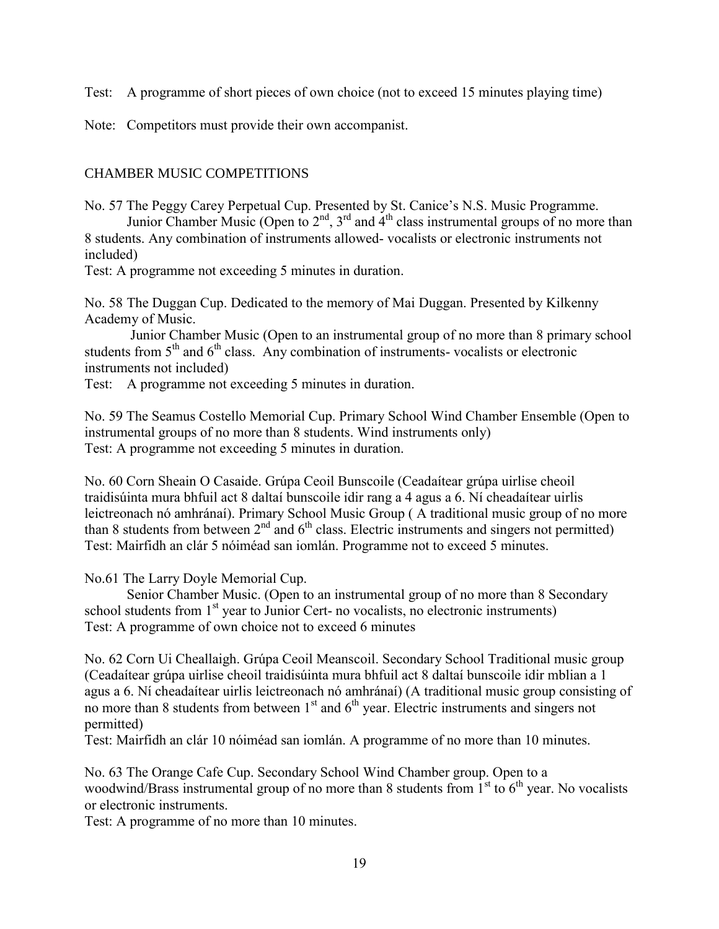Test: A programme of short pieces of own choice (not to exceed 15 minutes playing time)

Note: Competitors must provide their own accompanist.

### CHAMBER MUSIC COMPETITIONS

No. 57 The Peggy Carey Perpetual Cup. Presented by St. Canice's N.S. Music Programme. Junior Chamber Music (Open to  $2<sup>nd</sup>$ ,  $3<sup>rd</sup>$  and  $4<sup>th</sup>$  class instrumental groups of no more than 8 students. Any combination of instruments allowed- vocalists or electronic instruments not included)

Test: A programme not exceeding 5 minutes in duration.

No. 58 The Duggan Cup. Dedicated to the memory of Mai Duggan. Presented by Kilkenny Academy of Music.

Junior Chamber Music (Open to an instrumental group of no more than 8 primary school students from  $5<sup>th</sup>$  and  $6<sup>th</sup>$  class. Any combination of instruments- vocalists or electronic instruments not included)

Test: A programme not exceeding 5 minutes in duration.

No. 59 The Seamus Costello Memorial Cup. Primary School Wind Chamber Ensemble (Open to instrumental groups of no more than 8 students. Wind instruments only) Test: A programme not exceeding 5 minutes in duration.

No. 60 Corn Sheain O Casaide. Grúpa Ceoil Bunscoile (Ceadaítear grúpa uirlise cheoil traidisúinta mura bhfuil act 8 daltaí bunscoile idir rang a 4 agus a 6. Ní cheadaítear uirlis leictreonach nó amhránaí). Primary School Music Group ( A traditional music group of no more than 8 students from between  $2<sup>nd</sup>$  and  $6<sup>th</sup>$  class. Electric instruments and singers not permitted) Test: Mairfidh an clár 5 nóiméad san iomlán. Programme not to exceed 5 minutes.

No.61 The Larry Doyle Memorial Cup.

Senior Chamber Music. (Open to an instrumental group of no more than 8 Secondary school students from  $1<sup>st</sup>$  year to Junior Cert- no vocalists, no electronic instruments) Test: A programme of own choice not to exceed 6 minutes

No. 62 Corn Ui Cheallaigh. Grúpa Ceoil Meanscoil. Secondary School Traditional music group (Ceadaítear grúpa uirlise cheoil traidisúinta mura bhfuil act 8 daltaí bunscoile idir mblian a 1 agus a 6. Ní cheadaítear uirlis leictreonach nó amhránaí) (A traditional music group consisting of no more than 8 students from between 1<sup>st</sup> and 6<sup>th</sup> year. Electric instruments and singers not permitted)

Test: Mairfidh an clár 10 nóiméad san iomlán. A programme of no more than 10 minutes.

No. 63 The Orange Cafe Cup. Secondary School Wind Chamber group. Open to a woodwind/Brass instrumental group of no more than 8 students from  $1<sup>st</sup>$  to  $6<sup>th</sup>$  year. No vocalists or electronic instruments.

Test: A programme of no more than 10 minutes.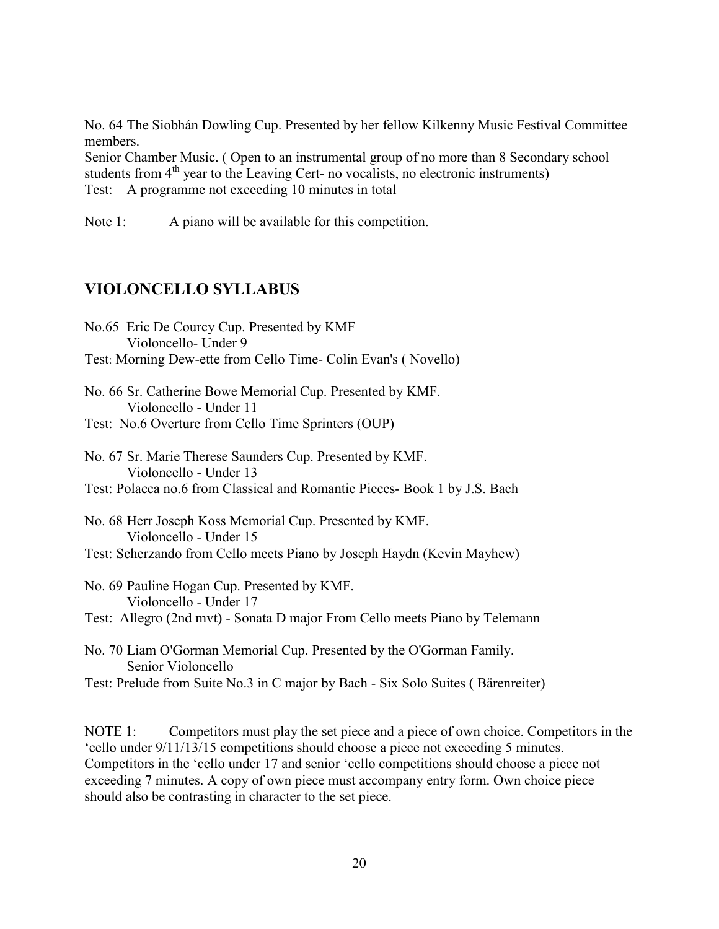No. 64 The Siobhán Dowling Cup. Presented by her fellow Kilkenny Music Festival Committee members.

Senior Chamber Music. ( Open to an instrumental group of no more than 8 Secondary school students from  $4<sup>th</sup>$  year to the Leaving Cert- no vocalists, no electronic instruments) Test: A programme not exceeding 10 minutes in total

Note 1: A piano will be available for this competition.

# <span id="page-19-0"></span>**VIOLONCELLO SYLLABUS**

- No.65 Eric De Courcy Cup. Presented by KMF Violoncello- Under 9 Test: Morning Dew-ette from Cello Time- Colin Evan's ( Novello)
- No. 66 Sr. Catherine Bowe Memorial Cup. Presented by KMF. Violoncello - Under 11
- Test: No.6 Overture from Cello Time Sprinters (OUP)
- No. 67 Sr. Marie Therese Saunders Cup. Presented by KMF. Violoncello - Under 13 Test: Polacca no.6 from Classical and Romantic Pieces- Book 1 by J.S. Bach

No. 68 Herr Joseph Koss Memorial Cup. Presented by KMF. Violoncello - Under 15 Test: Scherzando from Cello meets Piano by Joseph Haydn (Kevin Mayhew)

No. 69 Pauline Hogan Cup. Presented by KMF. Violoncello - Under 17 Test: Allegro (2nd mvt) - Sonata D major From Cello meets Piano by Telemann

No. 70 Liam O'Gorman Memorial Cup. Presented by the O'Gorman Family. Senior Violoncello

Test: Prelude from Suite No.3 in C major by Bach - Six Solo Suites ( Bärenreiter)

NOTE 1: Competitors must play the set piece and a piece of own choice. Competitors in the 'cello under 9/11/13/15 competitions should choose a piece not exceeding 5 minutes. Competitors in the 'cello under 17 and senior 'cello competitions should choose a piece not exceeding 7 minutes. A copy of own piece must accompany entry form. Own choice piece should also be contrasting in character to the set piece.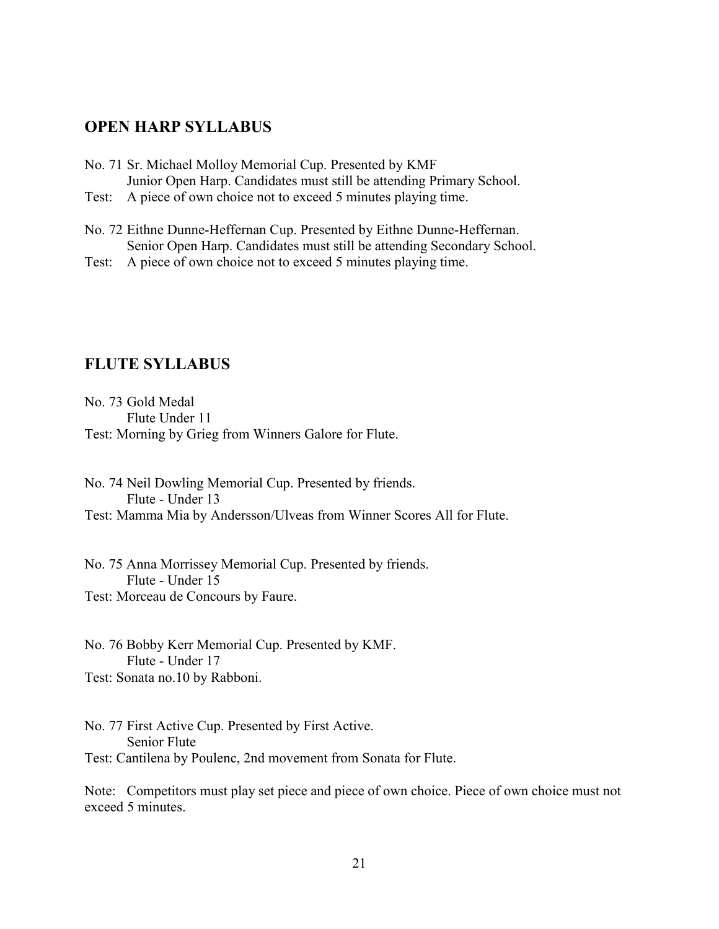### <span id="page-20-0"></span>**OPEN HARP SYLLABUS**

- No. 71 Sr. Michael Molloy Memorial Cup. Presented by KMF Junior Open Harp. Candidates must still be attending Primary School.
- Test: A piece of own choice not to exceed 5 minutes playing time.
- No. 72 Eithne Dunne-Heffernan Cup. Presented by Eithne Dunne-Heffernan. Senior Open Harp. Candidates must still be attending Secondary School.
- Test: A piece of own choice not to exceed 5 minutes playing time.

# <span id="page-20-1"></span>**FLUTE SYLLABUS**

No. 73 Gold Medal Flute Under 11 Test: Morning by Grieg from Winners Galore for Flute.

No. 74 Neil Dowling Memorial Cup. Presented by friends. Flute - Under 13 Test: Mamma Mia by Andersson/Ulveas from Winner Scores All for Flute.

No. 75 Anna Morrissey Memorial Cup. Presented by friends. Flute - Under 15 Test: Morceau de Concours by Faure.

No. 76 Bobby Kerr Memorial Cup. Presented by KMF. Flute - Under 17 Test: Sonata no.10 by Rabboni.

No. 77 First Active Cup. Presented by First Active. Senior Flute Test: Cantilena by Poulenc, 2nd movement from Sonata for Flute.

Note: Competitors must play set piece and piece of own choice. Piece of own choice must not exceed 5 minutes.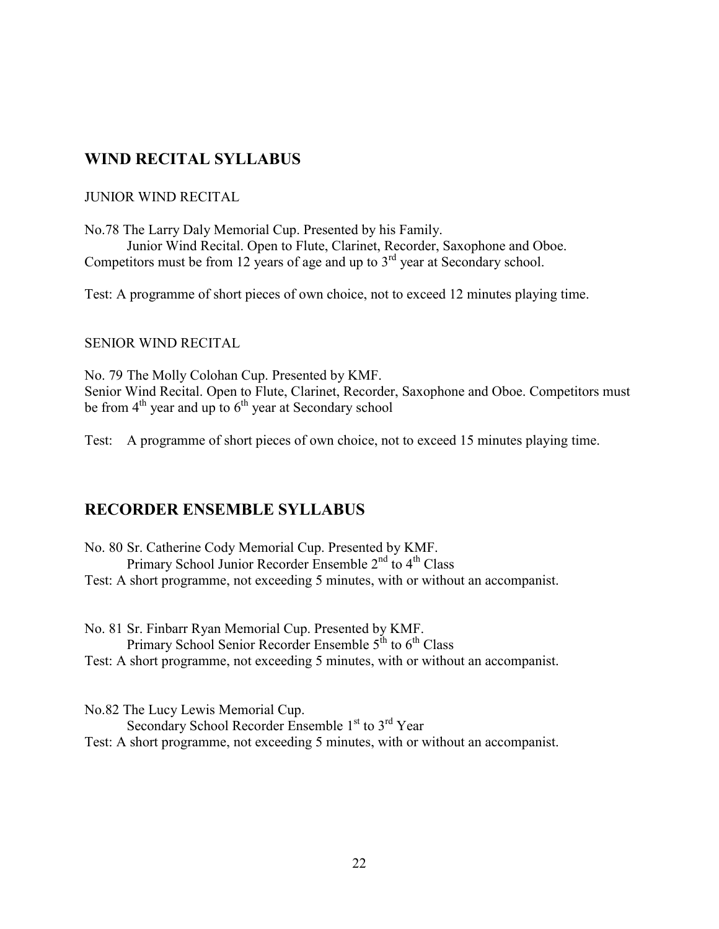# <span id="page-21-0"></span>**WIND RECITAL SYLLABUS**

#### JUNIOR WIND RECITAL

No.78 The Larry Daly Memorial Cup. Presented by his Family. Junior Wind Recital. Open to Flute, Clarinet, Recorder, Saxophone and Oboe. Competitors must be from 12 years of age and up to  $3<sup>rd</sup>$  year at Secondary school.

Test: A programme of short pieces of own choice, not to exceed 12 minutes playing time.

#### SENIOR WIND RECITAL

No. 79 The Molly Colohan Cup. Presented by KMF. Senior Wind Recital. Open to Flute, Clarinet, Recorder, Saxophone and Oboe. Competitors must be from  $4<sup>th</sup>$  year and up to  $6<sup>th</sup>$  year at Secondary school

Test: A programme of short pieces of own choice, not to exceed 15 minutes playing time.

### <span id="page-21-1"></span>**RECORDER ENSEMBLE SYLLABUS**

No. 80 Sr. Catherine Cody Memorial Cup. Presented by KMF. Primary School Junior Recorder Ensemble 2<sup>nd</sup> to 4<sup>th</sup> Class Test: A short programme, not exceeding 5 minutes, with or without an accompanist.

No. 81 Sr. Finbarr Ryan Memorial Cup. Presented by KMF. Primary School Senior Recorder Ensemble  $5<sup>th</sup>$  to  $6<sup>th</sup>$  Class Test: A short programme, not exceeding 5 minutes, with or without an accompanist.

No.82 The Lucy Lewis Memorial Cup. Secondary School Recorder Ensemble 1<sup>st</sup> to 3<sup>rd</sup> Year Test: A short programme, not exceeding 5 minutes, with or without an accompanist.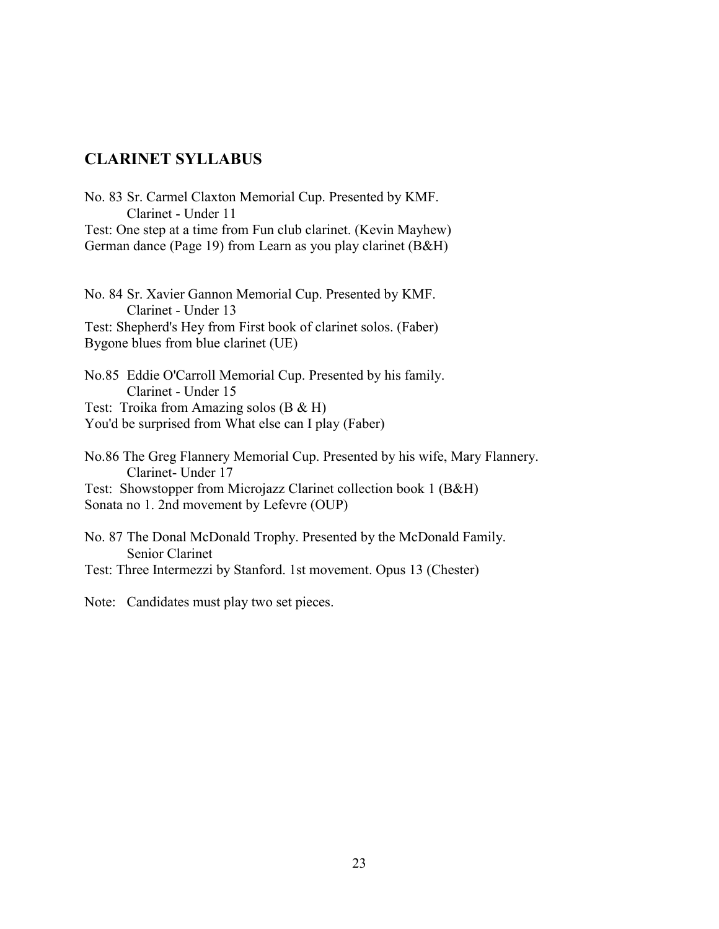### <span id="page-22-0"></span>**CLARINET SYLLABUS**

No. 83 Sr. Carmel Claxton Memorial Cup. Presented by KMF. Clarinet - Under 11 Test: One step at a time from Fun club clarinet. (Kevin Mayhew) German dance (Page 19) from Learn as you play clarinet (B&H)

No. 84 Sr. Xavier Gannon Memorial Cup. Presented by KMF. Clarinet - Under 13 Test: Shepherd's Hey from First book of clarinet solos. (Faber) Bygone blues from blue clarinet (UE)

No.85 Eddie O'Carroll Memorial Cup. Presented by his family. Clarinet - Under 15 Test: Troika from Amazing solos (B & H) You'd be surprised from What else can I play (Faber)

No.86 The Greg Flannery Memorial Cup. Presented by his wife, Mary Flannery. Clarinet- Under 17 Test: Showstopper from Microjazz Clarinet collection book 1 (B&H) Sonata no 1. 2nd movement by Lefevre (OUP)

No. 87 The Donal McDonald Trophy. Presented by the McDonald Family. Senior Clarinet Test: Three Intermezzi by Stanford. 1st movement. Opus 13 (Chester)

Note: Candidates must play two set pieces.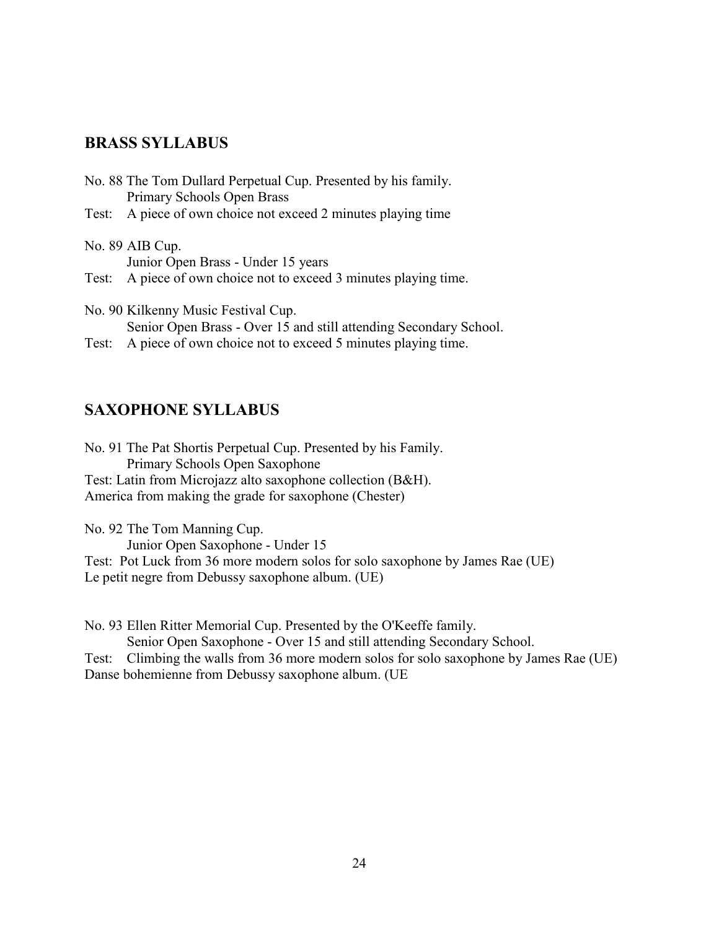### <span id="page-23-0"></span>**BRASS SYLLABUS**

| No. 88 The Tom Dullard Perpetual Cup. Presented by his family.                                                                                                                                                                                                                                                                                                |
|---------------------------------------------------------------------------------------------------------------------------------------------------------------------------------------------------------------------------------------------------------------------------------------------------------------------------------------------------------------|
| Primary Schools Open Brass                                                                                                                                                                                                                                                                                                                                    |
| Test: A piece of own choice not exceed 2 minutes playing time                                                                                                                                                                                                                                                                                                 |
| No. 89 AIB Cup.                                                                                                                                                                                                                                                                                                                                               |
| Junior Open Brass - Under 15 years                                                                                                                                                                                                                                                                                                                            |
| Test: A piece of own choice not to exceed 3 minutes playing time.                                                                                                                                                                                                                                                                                             |
| No. 90 Kilkenny Music Festival Cup.                                                                                                                                                                                                                                                                                                                           |
| $\alpha$ ; $\alpha$ , $\alpha$ , $\alpha$ , $\alpha$ , $\alpha$ , $\alpha$ , $\alpha$ , $\alpha$ , $\alpha$ , $\alpha$ , $\alpha$ , $\alpha$ , $\alpha$ , $\alpha$ , $\alpha$ , $\alpha$ , $\alpha$ , $\alpha$ , $\alpha$ , $\alpha$ , $\alpha$ , $\alpha$ , $\alpha$ , $\alpha$ , $\alpha$ , $\alpha$ , $\alpha$ , $\alpha$ , $\alpha$ , $\alpha$ , $\alpha$ |

Senior Open Brass - Over 15 and still attending Secondary School. Test: A piece of own choice not to exceed 5 minutes playing time.

### <span id="page-23-1"></span>**SAXOPHONE SYLLABUS**

No. 91 The Pat Shortis Perpetual Cup. Presented by his Family. Primary Schools Open Saxophone Test: Latin from Microjazz alto saxophone collection (B&H). America from making the grade for saxophone (Chester)

No. 92 The Tom Manning Cup. Junior Open Saxophone - Under 15 Test: Pot Luck from 36 more modern solos for solo saxophone by James Rae (UE) Le petit negre from Debussy saxophone album. (UE)

No. 93 Ellen Ritter Memorial Cup. Presented by the O'Keeffe family.

Senior Open Saxophone - Over 15 and still attending Secondary School.

Test: Climbing the walls from 36 more modern solos for solo saxophone by James Rae (UE) Danse bohemienne from Debussy saxophone album. (UE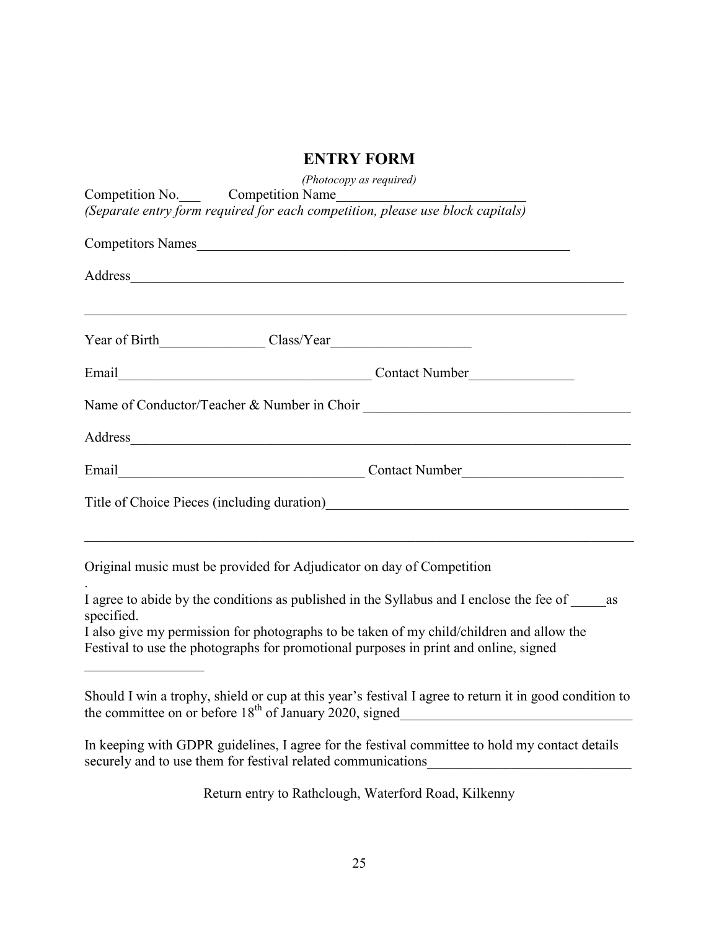# **ENTRY FORM**

<span id="page-24-0"></span>

| (Photocopy as required)<br>Competition No. Competition Name                                                                                                                                                                    |
|--------------------------------------------------------------------------------------------------------------------------------------------------------------------------------------------------------------------------------|
| (Separate entry form required for each competition, please use block capitals)                                                                                                                                                 |
| Competitors Names                                                                                                                                                                                                              |
| Address                                                                                                                                                                                                                        |
|                                                                                                                                                                                                                                |
|                                                                                                                                                                                                                                |
|                                                                                                                                                                                                                                |
| Address and the contract of the contract of the contract of the contract of the contract of the contract of the contract of the contract of the contract of the contract of the contract of the contract of the contract of th |
| Email Contact Number                                                                                                                                                                                                           |
| Title of Choice Pieces (including duration)<br><u>Letter and the contract of Choice Pieces</u> (including duration)                                                                                                            |
| Original music must be provided for Adjudicator on day of Competition                                                                                                                                                          |
| I agree to abide by the conditions as published in the Syllabus and I enclose the fee of<br>as<br>specified.                                                                                                                   |
| I also give my permission for photographs to be taken of my child/children and allow the<br>Festival to use the photographs for promotional purposes in print and online, signed                                               |
| Should I win a trophy, shield or cup at this year's festival I agree to return it in good condition to                                                                                                                         |
| In keeping with GDPR guidelines, I agree for the festival committee to hold my contact details<br>securely and to use them for festival related communications                                                                 |

Return entry to Rathclough, Waterford Road, Kilkenny